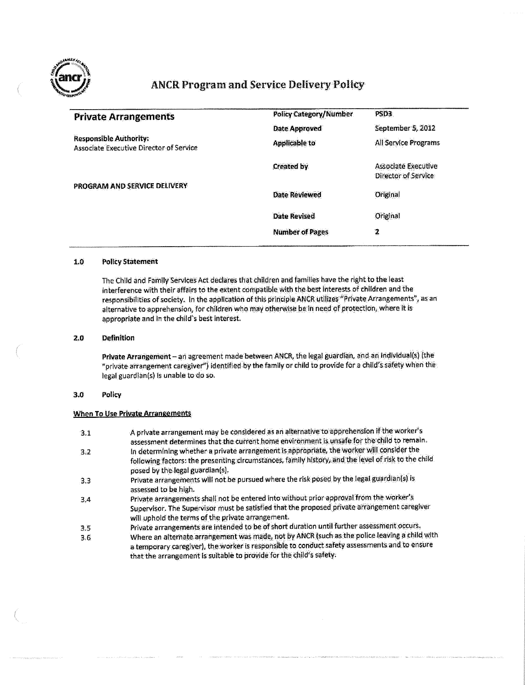

# **ANCR Program and Service Delivery Policy**

| <b>Policy Category/Number</b> | PSD3                                              |
|-------------------------------|---------------------------------------------------|
| Date Approved                 | September 5, 2012                                 |
| <b>Applicable to</b>          | All Service Programs                              |
| Created by                    | <b>Associate Executive</b><br>Director of Service |
| <b>Date Reviewed</b>          | Original                                          |
| <b>Date Revised</b>           | Original                                          |
| <b>Number of Pages</b>        | 2                                                 |
|                               |                                                   |

## 1.0 policy Statement

The Child and Family Services Act declares that children and families have the right to the least interference with their affairs to the extent compatible with the best interests of children and the responsibilities of society. In the application of this principle ANCR utilizes "Private Arrangements", as an alternative to apprehension, for children who may otherwise be in need of protection, where it is appropriate and in the child's best interest.

#### 2.0 Definition

Private Arrangement - an agreement made between ANCR, the legal guardian, and an individual(s) (the "private arrangement caregiver") identified by the famiiy or child to provide for a child's safety when the legal guardian(s) ts unable to do so.

#### 3.0 Policy

## When To Use Private Arrangements

- 3.1 A private arrangement may be considered as an alternative to apprehension if the worker's assessment determines that the current home environment is unsafe for the child to remain.
- 3.2 In determining whether a private arrangement is appropriate, the worker will consider the following factors: the presenting circumstances, family history, and the level of risk to the child posed by the legal guardian(s),
- 3.3 Private arrangements will not be pursued where the risk posed by the legal guardian(s) is assessed to be high.
- 3.4 Private arrangements shaii not be entered into without prior approval from the worker's Supervisor. The Supervisor must be satisfied that the proposed private arrangement caregiver will uphold the terms of the private arrangement.
- 3.5 Private arrangements are intended to be of short duration until further assessment occurs.
- 3.6 Where an alternate arrangement was made, not by ANCR {such as the police leaving a child with a temporary caregiver), the worker is responsible to conduct safety assessments and to ensure that the arrangement is suitable to provide for the child's safety.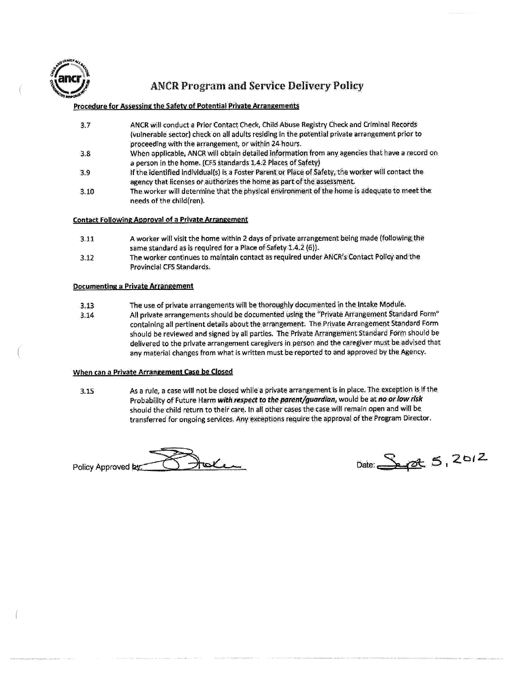

# **ANCR Program and Service Delivery Policy**

# Procedure for Assessing the Safety of Potential Private Arrangements

- 3.7 ANCR wili conduct a Prior Contact Check, Child Abuse Registry Check and Criminal Records (vulnerable sector) check on ail adults residing in the potential private arrangement prior to proceeding with the arrangement, or within 24-hours.
- 3.8 When applicable, ANCR will obtain detailed information from any agencies that have a record on a person in the home. (CFS standards 1.4.2 Places of Safety)
- 3.9 If the identified individual^) is a Foster Parent or Place of Safety, the worker wili contact the agency that licenses or authorizes the home as part of the assessment.
- 3.10 The worker will determine that the physical environment of the home is adequate to meetthe: needs of the child(ren).

### Contact Following Approvai of a Private Arrangement

- 3.11 A worker wili visit the home within 2 days of private arrangement being made (fotlowing the same standard as is required for a Place of Safety 1.4.2 (6)].
- 3.12 The worker continues to maintain contact as required under AIMCR's Contact Policy and the Provincial CFS Standards.

# Documenting a Private Arrangement

- 3.13 The use of private arrangements wili be thoroughly documented in the Intake Module.
- 3.14 All private arrangements should be documented using the "Private Arrangement Standard Form" containing all pertinent details about the arrangement. The Private Arrangement Standard Form should be reviewed and signed by ail parties. The Private Arrangement Standard Form should be delivered to the private arrangement caregivers in person and the caregiver must be advised that any material changes from what is written must be reported to and approved by the Agency.

### When can a Private Arrangement Case be Closed

3.15 As a rule, a case wili not be closed while a private arrangement is in place. The exception is if the Probability of Future Harm **with respect to the parent/guardian,** would be at fto **or low risk**  should the child return to their care, in all other cases the case will remain open and wili be transferred for ongoing services. Any exceptions require the approval of the Program Director.

Pnlinv Aprtftwed **byr^^\_L\_\_.J ..Jl^T^^C\*\*-\*\*^** Date:.,